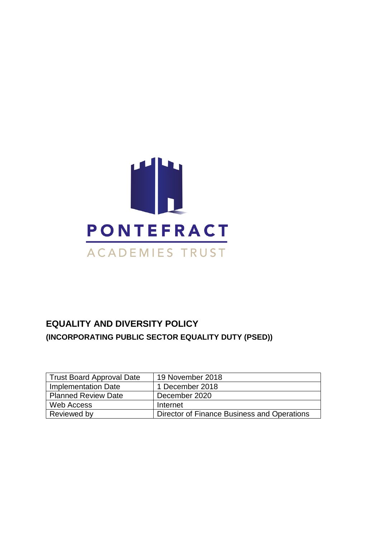

### **EQUALITY AND DIVERSITY POLICY (INCORPORATING PUBLIC SECTOR EQUALITY DUTY (PSED))**

| Trust Board Approval Date  | 19 November 2018                            |
|----------------------------|---------------------------------------------|
| Implementation Date        | 1 December 2018                             |
| <b>Planned Review Date</b> | December 2020                               |
| Web Access                 | Internet                                    |
| Reviewed by                | Director of Finance Business and Operations |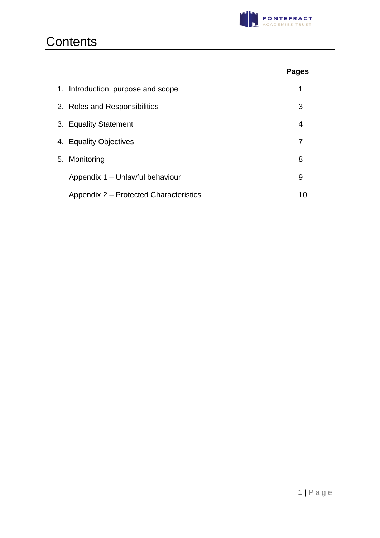

## **Contents**

|                                        | <b>Pages</b> |
|----------------------------------------|--------------|
| 1. Introduction, purpose and scope     | 1            |
| 2. Roles and Responsibilities          | 3            |
| 3. Equality Statement                  | 4            |
| 4. Equality Objectives                 |              |
| 5. Monitoring                          | 8            |
| Appendix 1 - Unlawful behaviour        | 9            |
| Appendix 2 – Protected Characteristics | 10           |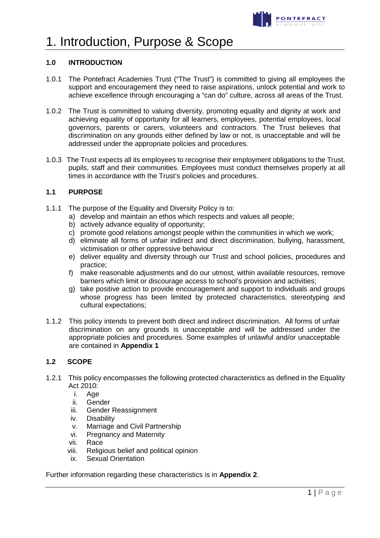

### 1. Introduction, Purpose & Scope

### **1.0 INTRODUCTION**

- 1.0.1 The Pontefract Academies Trust ("The Trust") is committed to giving all employees the support and encouragement they need to raise aspirations, unlock potential and work to achieve excellence through encouraging a "can do" culture, across all areas of the Trust.
- 1.0.2 The Trust is committed to valuing diversity, promoting equality and dignity at work and achieving equality of opportunity for all learners, employees, potential employees, local governors, parents or carers, volunteers and contractors. The Trust believes that discrimination on any grounds either defined by law or not, is unacceptable and will be addressed under the appropriate policies and procedures.
- 1.0.3 The Trust expects all its employees to recognise their employment obligations to the Trust, pupils, staff and their communities. Employees must conduct themselves properly at all times in accordance with the Trust's policies and procedures.

### **1.1 PURPOSE**

- 1.1.1 The purpose of the Equality and Diversity Policy is to:
	- a) develop and maintain an ethos which respects and values all people;
	- b) actively advance equality of opportunity;
	- c) promote good relations amongst people within the communities in which we work;
	- d) eliminate all forms of unfair indirect and direct discrimination, bullying, harassment, victimisation or other oppressive behaviour
	- e) deliver equality and diversity through our Trust and school policies, procedures and practice;
	- f) make reasonable adjustments and do our utmost, within available resources, remove barriers which limit or discourage access to school's provision and activities;
	- g) take positive action to provide encouragement and support to individuals and groups whose progress has been limited by protected characteristics, stereotyping and cultural expectations;
- 1.1.2 This policy intends to prevent both direct and indirect discrimination. All forms of unfair discrimination on any grounds is unacceptable and will be addressed under the appropriate policies and procedures. Some examples of unlawful and/or unacceptable are contained in **Appendix 1**

### **1.2 SCOPE**

- 1.2.1 This policy encompasses the following protected characteristics as defined in the Equality Act 2010:
	- i. Age
	- ii. Gender
	- iii. Gender Reassignment
	- iv. Disability
	- v. Marriage and Civil Partnership
	- vi. Pregnancy and Maternity
	- vii. Race
	- viii. Religious belief and political opinion
	- ix. Sexual Orientation

Further information regarding these characteristics is in **Appendix 2**.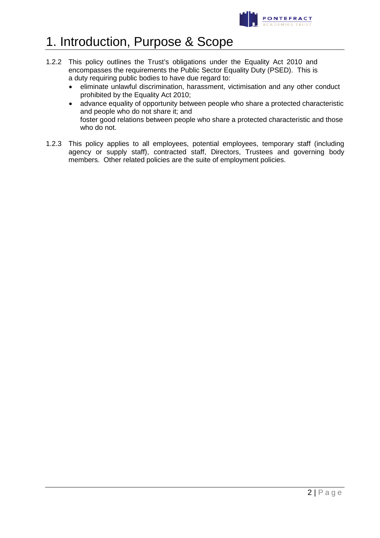

### 1. Introduction, Purpose & Scope

- 1.2.2 This policy outlines the Trust's obligations under the Equality Act 2010 and encompasses the requirements the Public Sector Equality Duty (PSED). This is a duty requiring public bodies to have due regard to:
	- eliminate unlawful discrimination, harassment, victimisation and any other conduct prohibited by the Equality Act 2010;
	- advance equality of opportunity between people who share a protected characteristic and people who do not share it; and foster good relations between people who share a protected characteristic and those who do not.
- 1.2.3 This policy applies to all employees, potential employees, temporary staff (including agency or supply staff), contracted staff, Directors, Trustees and governing body members. Other related policies are the suite of employment policies.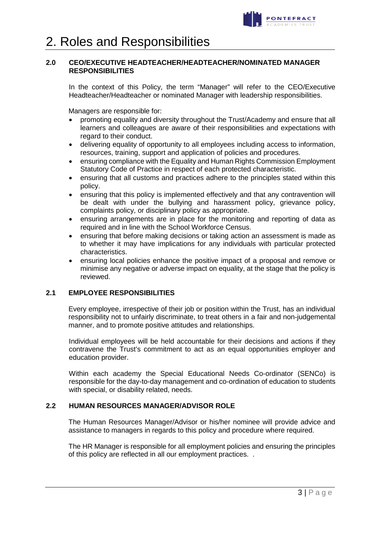

### **2.0 CEO/EXECUTIVE HEADTEACHER/HEADTEACHER/NOMINATED MANAGER RESPONSIBILITIES**

In the context of this Policy, the term "Manager" will refer to the CEO/Executive Headteacher/Headteacher or nominated Manager with leadership responsibilities.

Managers are responsible for:

- promoting equality and diversity throughout the Trust/Academy and ensure that all learners and colleagues are aware of their responsibilities and expectations with regard to their conduct.
- delivering equality of opportunity to all employees including access to information, resources, training, support and application of policies and procedures.
- ensuring compliance with the Equality and Human Rights Commission Employment Statutory Code of Practice in respect of each protected characteristic.
- ensuring that all customs and practices adhere to the principles stated within this policy.
- ensuring that this policy is implemented effectively and that any contravention will be dealt with under the bullying and harassment policy, grievance policy, complaints policy, or disciplinary policy as appropriate.
- ensuring arrangements are in place for the monitoring and reporting of data as required and in line with the School Workforce Census.
- ensuring that before making decisions or taking action an assessment is made as to whether it may have implications for any individuals with particular protected characteristics.
- ensuring local policies enhance the positive impact of a proposal and remove or minimise any negative or adverse impact on equality, at the stage that the policy is reviewed.

### **2.1 EMPLOYEE RESPONSIBILITIES**

Every employee, irrespective of their job or position within the Trust, has an individual responsibility not to unfairly discriminate, to treat others in a fair and non-judgemental manner, and to promote positive attitudes and relationships.

Individual employees will be held accountable for their decisions and actions if they contravene the Trust's commitment to act as an equal opportunities employer and education provider.

Within each academy the Special Educational Needs Co-ordinator (SENCo) is responsible for the day-to-day management and co-ordination of education to students with special, or disability related, needs.

### **2.2 HUMAN RESOURCES MANAGER/ADVISOR ROLE**

The Human Resources Manager/Advisor or his/her nominee will provide advice and assistance to managers in regards to this policy and procedure where required.

The HR Manager is responsible for all employment policies and ensuring the principles of this policy are reflected in all our employment practices. .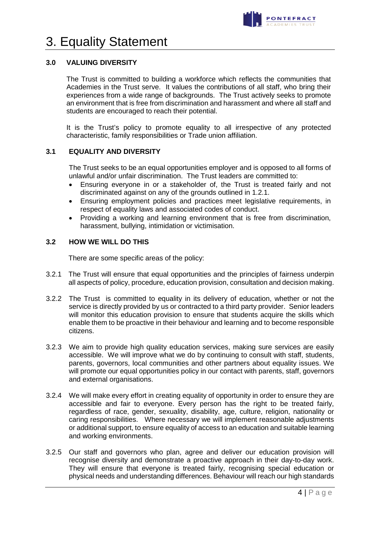

## 3. Equality Statement

### **3.0 VALUING DIVERSITY**

The Trust is committed to building a workforce which reflects the communities that Academies in the Trust serve. It values the contributions of all staff, who bring their experiences from a wide range of backgrounds. The Trust actively seeks to promote an environment that is free from discrimination and harassment and where all staff and students are encouraged to reach their potential.

It is the Trust's policy to promote equality to all irrespective of any protected characteristic, family responsibilities or Trade union affiliation.

### **3.1 EQUALITY AND DIVERSITY**

The Trust seeks to be an equal opportunities employer and is opposed to all forms of unlawful and/or unfair discrimination. The Trust leaders are committed to:

- Ensuring everyone in or a stakeholder of, the Trust is treated fairly and not discriminated against on any of the grounds outlined in 1.2.1.
- Ensuring employment policies and practices meet legislative requirements, in respect of equality laws and associated codes of conduct.
- Providing a working and learning environment that is free from discrimination, harassment, bullying, intimidation or victimisation.

### **3.2 HOW WE WILL DO THIS**

There are some specific areas of the policy:

- 3.2.1 The Trust will ensure that equal opportunities and the principles of fairness underpin all aspects of policy, procedure, education provision, consultation and decision making.
- 3.2.2 The Trust is committed to equality in its delivery of education, whether or not the service is directly provided by us or contracted to a third party provider. Senior leaders will monitor this education provision to ensure that students acquire the skills which enable them to be proactive in their behaviour and learning and to become responsible citizens.
- 3.2.3 We aim to provide high quality education services, making sure services are easily accessible. We will improve what we do by continuing to consult with staff, students, parents, governors, local communities and other partners about equality issues. We will promote our equal opportunities policy in our contact with parents, staff, governors and external organisations.
- 3.2.4 We will make every effort in creating equality of opportunity in order to ensure they are accessible and fair to everyone. Every person has the right to be treated fairly, regardless of race, gender, sexuality, disability, age, culture, religion, nationality or caring responsibilities. Where necessary we will implement reasonable adjustments or additional support, to ensure equality of access to an education and suitable learning and working environments.
- 3.2.5 Our staff and governors who plan, agree and deliver our education provision will recognise diversity and demonstrate a proactive approach in their day-to-day work. They will ensure that everyone is treated fairly, recognising special education or physical needs and understanding differences. Behaviour will reach our high standards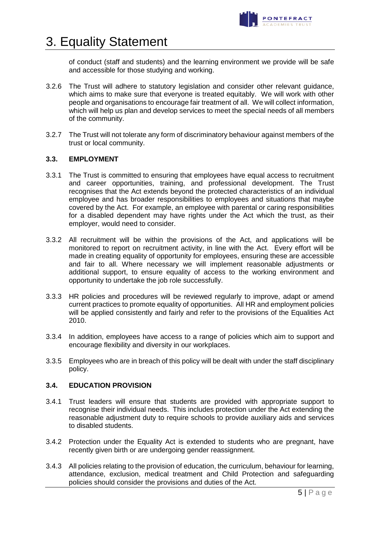

## 3. Equality Statement

of conduct (staff and students) and the learning environment we provide will be safe and accessible for those studying and working.

- 3.2.6 The Trust will adhere to statutory legislation and consider other relevant guidance, which aims to make sure that everyone is treated equitably. We will work with other people and organisations to encourage fair treatment of all. We will collect information, which will help us plan and develop services to meet the special needs of all members of the community.
- 3.2.7 The Trust will not tolerate any form of discriminatory behaviour against members of the trust or local community.

### **3.3. EMPLOYMENT**

- 3.3.1 The Trust is committed to ensuring that employees have equal access to recruitment and career opportunities, training, and professional development. The Trust recognises that the Act extends beyond the protected characteristics of an individual employee and has broader responsibilities to employees and situations that maybe covered by the Act. For example, an employee with parental or caring responsibilities for a disabled dependent may have rights under the Act which the trust, as their employer, would need to consider.
- 3.3.2 All recruitment will be within the provisions of the Act, and applications will be monitored to report on recruitment activity, in line with the Act. Every effort will be made in creating equality of opportunity for employees, ensuring these are accessible and fair to all. Where necessary we will implement reasonable adjustments or additional support, to ensure equality of access to the working environment and opportunity to undertake the job role successfully.
- 3.3.3 HR policies and procedures will be reviewed regularly to improve, adapt or amend current practices to promote equality of opportunities. All HR and employment policies will be applied consistently and fairly and refer to the provisions of the Equalities Act 2010.
- 3.3.4 In addition, employees have access to a range of policies which aim to support and encourage flexibility and diversity in our workplaces.
- 3.3.5 Employees who are in breach of this policy will be dealt with under the staff disciplinary policy.

### **3.4. EDUCATION PROVISION**

- 3.4.1 Trust leaders will ensure that students are provided with appropriate support to recognise their individual needs. This includes protection under the Act extending the reasonable adjustment duty to require schools to provide auxiliary aids and services to disabled students.
- 3.4.2 Protection under the Equality Act is extended to students who are pregnant, have recently given birth or are undergoing gender reassignment.
- 3.4.3 All policies relating to the provision of education, the curriculum, behaviour for learning, attendance, exclusion, medical treatment and Child Protection and safeguarding policies should consider the provisions and duties of the Act.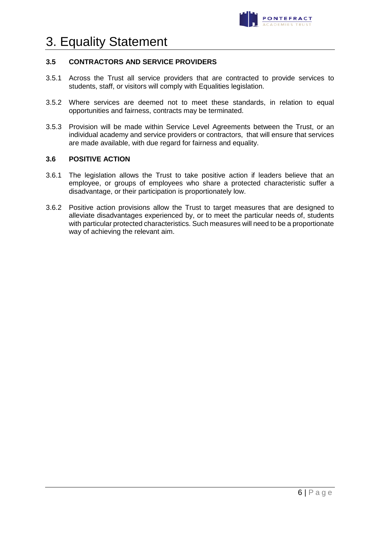

## 3. Equality Statement

### **3.5 CONTRACTORS AND SERVICE PROVIDERS**

- 3.5.1 Across the Trust all service providers that are contracted to provide services to students, staff, or visitors will comply with Equalities legislation.
- 3.5.2 Where services are deemed not to meet these standards, in relation to equal opportunities and fairness, contracts may be terminated.
- 3.5.3 Provision will be made within Service Level Agreements between the Trust, or an individual academy and service providers or contractors, that will ensure that services are made available, with due regard for fairness and equality.

### **3.6 POSITIVE ACTION**

- 3.6.1 The legislation allows the Trust to take positive action if leaders believe that an employee, or groups of employees who share a protected characteristic suffer a disadvantage, or their participation is proportionately low.
- 3.6.2 Positive action provisions allow the Trust to target measures that are designed to alleviate disadvantages experienced by, or to meet the particular needs of, students with particular protected characteristics. Such measures will need to be a proportionate way of achieving the relevant aim.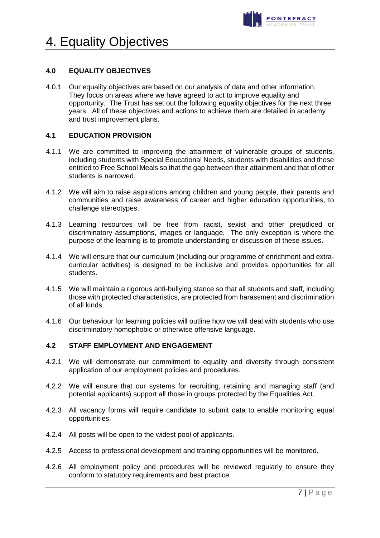

## 4. Equality Objectives

### **4.0 EQUALITY OBJECTIVES**

4.0.1 Our equality objectives are based on our analysis of data and other information. They focus on areas where we have agreed to act to improve equality and opportunity. The Trust has set out the following equality objectives for the next three years. All of these objectives and actions to achieve them are detailed in academy and trust improvement plans.

### **4.1 EDUCATION PROVISION**

- 4.1.1 We are committed to improving the attainment of vulnerable groups of students, including students with Special Educational Needs, students with disabilities and those entitled to Free School Meals so that the gap between their attainment and that of other students is narrowed.
- 4.1.2 We will aim to raise aspirations among children and young people, their parents and communities and raise awareness of career and higher education opportunities, to challenge stereotypes.
- 4.1.3 Learning resources will be free from racist, sexist and other prejudiced or discriminatory assumptions, images or language. The only exception is where the purpose of the learning is to promote understanding or discussion of these issues.
- 4.1.4 We will ensure that our curriculum (including our programme of enrichment and extracurricular activities) is designed to be inclusive and provides opportunities for all students.
- 4.1.5 We will maintain a rigorous anti-bullying stance so that all students and staff, including those with protected characteristics, are protected from harassment and discrimination of all kinds.
- 4.1.6 Our behaviour for learning policies will outline how we will deal with students who use discriminatory homophobic or otherwise offensive language.

### **4.2 STAFF EMPLOYMENT AND ENGAGEMENT**

- 4.2.1 We will demonstrate our commitment to equality and diversity through consistent application of our employment policies and procedures.
- 4.2.2 We will ensure that our systems for recruiting, retaining and managing staff (and potential applicants) support all those in groups protected by the Equalities Act.
- 4.2.3 All vacancy forms will require candidate to submit data to enable monitoring equal opportunities.
- 4.2.4 All posts will be open to the widest pool of applicants.
- 4.2.5 Access to professional development and training opportunities will be monitored.
- 4.2.6 All employment policy and procedures will be reviewed regularly to ensure they conform to statutory requirements and best practice.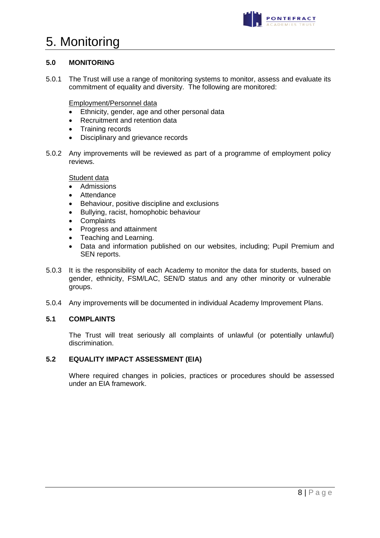

### 5. Monitoring

### **5.0 MONITORING**

5.0.1 The Trust will use a range of monitoring systems to monitor, assess and evaluate its commitment of equality and diversity. The following are monitored:

Employment/Personnel data

- Ethnicity, gender, age and other personal data
- Recruitment and retention data
- Training records
- Disciplinary and grievance records
- 5.0.2 Any improvements will be reviewed as part of a programme of employment policy reviews.

### **Student data**

- Admissions
- Attendance<br>• Behaviour
- Behaviour, positive discipline and exclusions
- Bullying, racist, homophobic behaviour
- Complaints
- Progress and attainment
- Teaching and Learning.
- Data and information published on our websites, including; Pupil Premium and SEN reports.
- 5.0.3 It is the responsibility of each Academy to monitor the data for students, based on gender, ethnicity, FSM/LAC, SEN/D status and any other minority or vulnerable groups.
- 5.0.4 Any improvements will be documented in individual Academy Improvement Plans.

### **5.1 COMPLAINTS**

The Trust will treat seriously all complaints of unlawful (or potentially unlawful) discrimination.

### **5.2 EQUALITY IMPACT ASSESSMENT (EIA)**

Where required changes in policies, practices or procedures should be assessed under an EIA framework.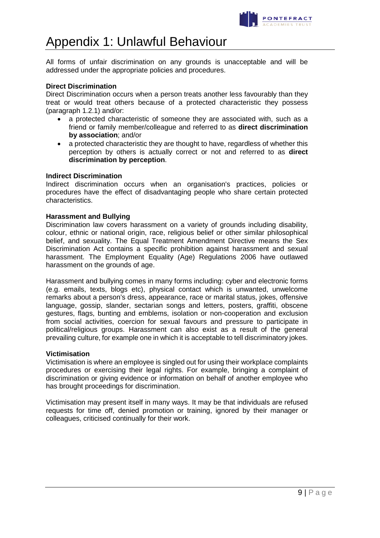

### Appendix 1: Unlawful Behaviour

All forms of unfair discrimination on any grounds is unacceptable and will be addressed under the appropriate policies and procedures.

### **Direct Discrimination**

Direct Discrimination occurs when a person treats another less favourably than they treat or would treat others because of a protected characteristic they possess (paragraph 1.2.1) and/or:

- a protected characteristic of someone they are associated with, such as a friend or family member/colleague and referred to as **direct discrimination by association**; and/or
- a protected characteristic they are thought to have, regardless of whether this perception by others is actually correct or not and referred to as **direct discrimination by perception**.

#### **Indirect Discrimination**

Indirect discrimination occurs when an organisation's practices, policies or procedures have the effect of disadvantaging people who share certain protected characteristics.

### **Harassment and Bullying**

Discrimination law covers harassment on a variety of grounds including disability, colour, ethnic or national origin, race, religious belief or other similar philosophical belief, and sexuality. The Equal Treatment Amendment Directive means the Sex Discrimination Act contains a specific prohibition against harassment and sexual harassment. The Employment Equality (Age) Regulations 2006 have outlawed harassment on the grounds of age.

Harassment and bullying comes in many forms including: cyber and electronic forms (e.g. emails, texts, blogs etc), physical contact which is unwanted, unwelcome remarks about a person's dress, appearance, race or marital status, jokes, offensive language, gossip, slander, sectarian songs and letters, posters, graffiti, obscene gestures, flags, bunting and emblems, isolation or non-cooperation and exclusion from social activities, coercion for sexual favours and pressure to participate in political/religious groups. Harassment can also exist as a result of the general prevailing culture, for example one in which it is acceptable to tell discriminatory jokes.

#### **Victimisation**

Victimisation is where an employee is singled out for using their workplace complaints procedures or exercising their legal rights. For example, bringing a complaint of discrimination or giving evidence or information on behalf of another employee who has brought proceedings for discrimination.

Victimisation may present itself in many ways. It may be that individuals are refused requests for time off, denied promotion or training, ignored by their manager or colleagues, criticised continually for their work.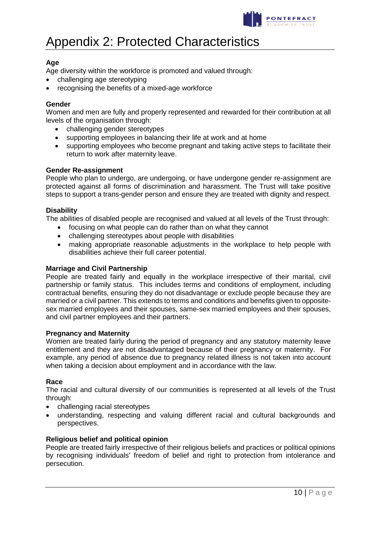

## Appendix 2: Protected Characteristics

### **Age**

Age diversity within the workforce is promoted and valued through:

- challenging age stereotyping
- recognising the benefits of a mixed-age workforce

### **Gender**

Women and men are fully and properly represented and rewarded for their contribution at all levels of the organisation through:

- challenging gender stereotypes
- supporting employees in balancing their life at work and at home
- supporting employees who become pregnant and taking active steps to facilitate their return to work after maternity leave.

### **Gender Re-assignment**

People who plan to undergo, are undergoing, or have undergone gender re-assignment are protected against all forms of discrimination and harassment. The Trust will take positive steps to support a trans-gender person and ensure they are treated with dignity and respect.

### **Disability**

The abilities of disabled people are recognised and valued at all levels of the Trust through:

- focusing on what people can do rather than on what they cannot
- challenging stereotypes about people with disabilities
- making appropriate reasonable adjustments in the workplace to help people with disabilities achieve their full career potential.

#### **Marriage and Civil Partnership**

People are treated fairly and equally in the workplace irrespective of their marital, civil partnership or family status. This includes terms and conditions of employment, including contractual benefits, ensuring they do not disadvantage or exclude people because they are married or a civil partner. This extends to terms and conditions and benefits given to oppositesex married employees and their spouses, same-sex married employees and their spouses, and civil partner employees and their partners.

#### **Pregnancy and Maternity**

Women are treated fairly during the period of pregnancy and any statutory maternity leave entitlement and they are not disadvantaged because of their pregnancy or maternity. For example, any period of absence due to pregnancy related illness is not taken into account when taking a decision about employment and in accordance with the law.

#### **Race**

The racial and cultural diversity of our communities is represented at all levels of the Trust through:

- challenging racial stereotypes
- understanding, respecting and valuing different racial and cultural backgrounds and perspectives.

### **Religious belief and political opinion**

People are treated fairly irrespective of their religious beliefs and practices or political opinions by recognising individuals' freedom of belief and right to protection from intolerance and persecution.